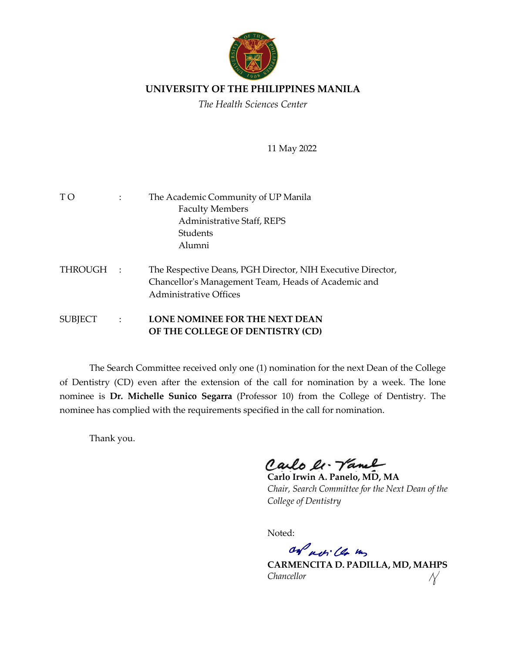

## **UNIVERSITY OF THE PHILIPPINES MANILA**

*The Health Sciences Center*

11 May 2022

| T O     |                | The Academic Community of UP Manila<br><b>Faculty Members</b><br>Administrative Staff, REPS<br>Students<br>Alumni                                   |
|---------|----------------|-----------------------------------------------------------------------------------------------------------------------------------------------------|
| THROUGH | $\mathbb{R}^2$ | The Respective Deans, PGH Director, NIH Executive Director,<br>Chancellor's Management Team, Heads of Academic and<br><b>Administrative Offices</b> |
| SUBJECT | $\sim$ 1.      | <b>LONE NOMINEE FOR THE NEXT DEAN</b><br>OF THE COLLEGE OF DENTISTRY (CD)                                                                           |

The Search Committee received only one (1) nomination for the next Dean of the College of Dentistry (CD) even after the extension of the call for nomination by a week. The lone nominee is **Dr. Michelle Sunico Segarra** (Professor 10) from the College of Dentistry. The nominee has complied with the requirements specified in the call for nomination.

Thank you.

Carlo le. Vanel

**Carlo Irwin A. Panelo, MD, MA**  *Chair, Search Committee for the Next Dean of the College of Dentistry*

Noted:

on actillo un

**CARMENCITA D. PADILLA, MD, MAHPS** *Chancellor*